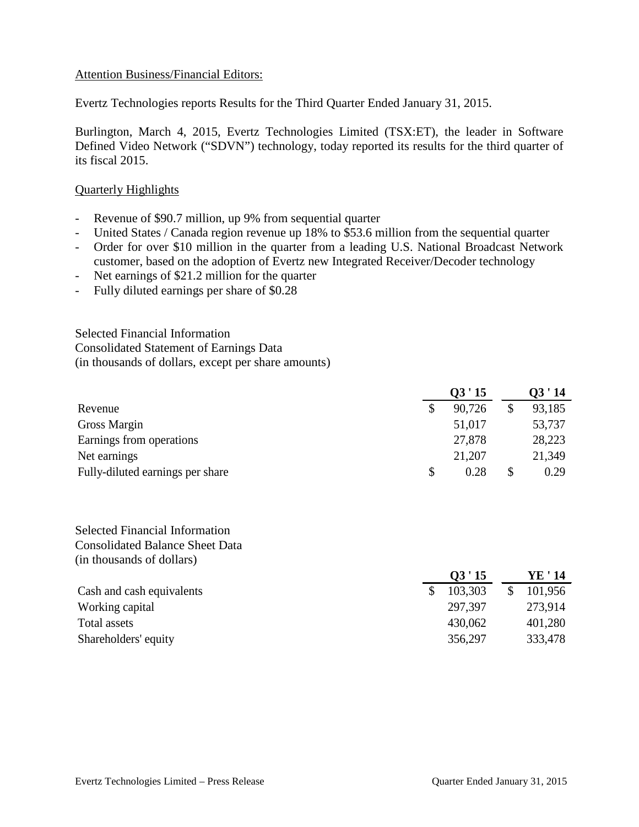# Attention Business/Financial Editors:

Evertz Technologies reports Results for the Third Quarter Ended January 31, 2015.

Burlington, March 4, 2015, Evertz Technologies Limited (TSX:ET), the leader in Software Defined Video Network ("SDVN") technology, today reported its results for the third quarter of its fiscal 2015.

### Quarterly Highlights

- Revenue of \$90.7 million, up 9% from sequential quarter
- United States / Canada region revenue up 18% to \$53.6 million from the sequential quarter
- Order for over \$10 million in the quarter from a leading U.S. National Broadcast Network customer, based on the adoption of Evertz new Integrated Receiver/Decoder technology
- Net earnings of \$21.2 million for the quarter
- Fully diluted earnings per share of \$0.28

Selected Financial Information Consolidated Statement of Earnings Data (in thousands of dollars, except per share amounts)

|                                  | 03'15 |        |              | Q3'14  |  |
|----------------------------------|-------|--------|--------------|--------|--|
| Revenue                          |       | 90,726 | $\mathbb{S}$ | 93,185 |  |
| <b>Gross Margin</b>              |       | 51,017 |              | 53,737 |  |
| Earnings from operations         |       | 27,878 |              | 28,223 |  |
| Net earnings                     |       | 21,207 |              | 21,349 |  |
| Fully-diluted earnings per share | \$    | 0.28   | $\mathbb{S}$ | 0.29   |  |

Selected Financial Information Consolidated Balance Sheet Data (in thousands of dollars)

|                           | 03'15   | YE ' 14 |
|---------------------------|---------|---------|
| Cash and cash equivalents | 103,303 | 101,956 |
| Working capital           | 297,397 | 273,914 |
| Total assets              | 430,062 | 401,280 |
| Shareholders' equity      | 356,297 | 333,478 |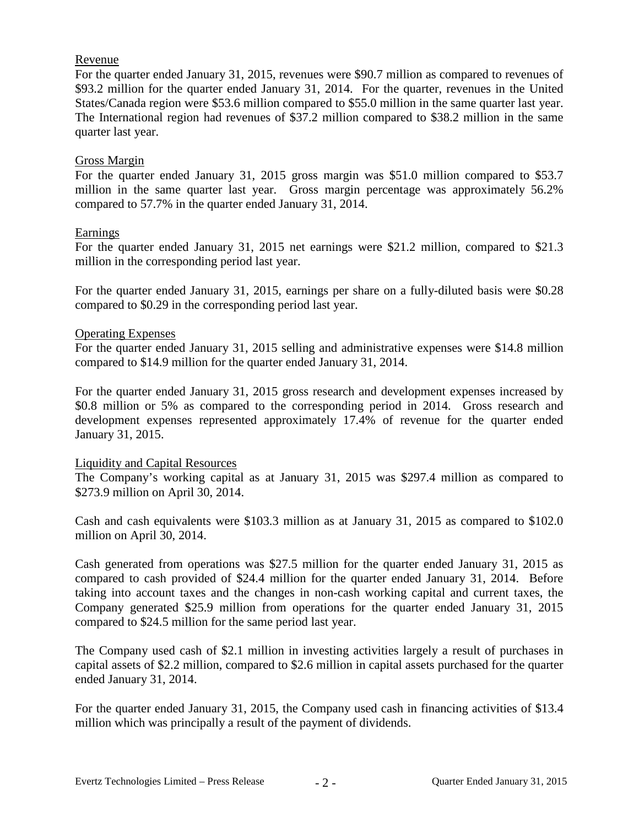### Revenue

For the quarter ended January 31, 2015, revenues were \$90.7 million as compared to revenues of \$93.2 million for the quarter ended January 31, 2014. For the quarter, revenues in the United States/Canada region were \$53.6 million compared to \$55.0 million in the same quarter last year. The International region had revenues of \$37.2 million compared to \$38.2 million in the same quarter last year.

# Gross Margin

For the quarter ended January 31, 2015 gross margin was \$51.0 million compared to \$53.7 million in the same quarter last year. Gross margin percentage was approximately 56.2% compared to 57.7% in the quarter ended January 31, 2014.

### Earnings

For the quarter ended January 31, 2015 net earnings were \$21.2 million, compared to \$21.3 million in the corresponding period last year.

For the quarter ended January 31, 2015, earnings per share on a fully-diluted basis were \$0.28 compared to \$0.29 in the corresponding period last year.

### Operating Expenses

For the quarter ended January 31, 2015 selling and administrative expenses were \$14.8 million compared to \$14.9 million for the quarter ended January 31, 2014.

For the quarter ended January 31, 2015 gross research and development expenses increased by \$0.8 million or 5% as compared to the corresponding period in 2014. Gross research and development expenses represented approximately 17.4% of revenue for the quarter ended January 31, 2015.

### Liquidity and Capital Resources

The Company's working capital as at January 31, 2015 was \$297.4 million as compared to \$273.9 million on April 30, 2014.

Cash and cash equivalents were \$103.3 million as at January 31, 2015 as compared to \$102.0 million on April 30, 2014.

Cash generated from operations was \$27.5 million for the quarter ended January 31, 2015 as compared to cash provided of \$24.4 million for the quarter ended January 31, 2014. Before taking into account taxes and the changes in non-cash working capital and current taxes, the Company generated \$25.9 million from operations for the quarter ended January 31, 2015 compared to \$24.5 million for the same period last year.

The Company used cash of \$2.1 million in investing activities largely a result of purchases in capital assets of \$2.2 million, compared to \$2.6 million in capital assets purchased for the quarter ended January 31, 2014.

For the quarter ended January 31, 2015, the Company used cash in financing activities of \$13.4 million which was principally a result of the payment of dividends.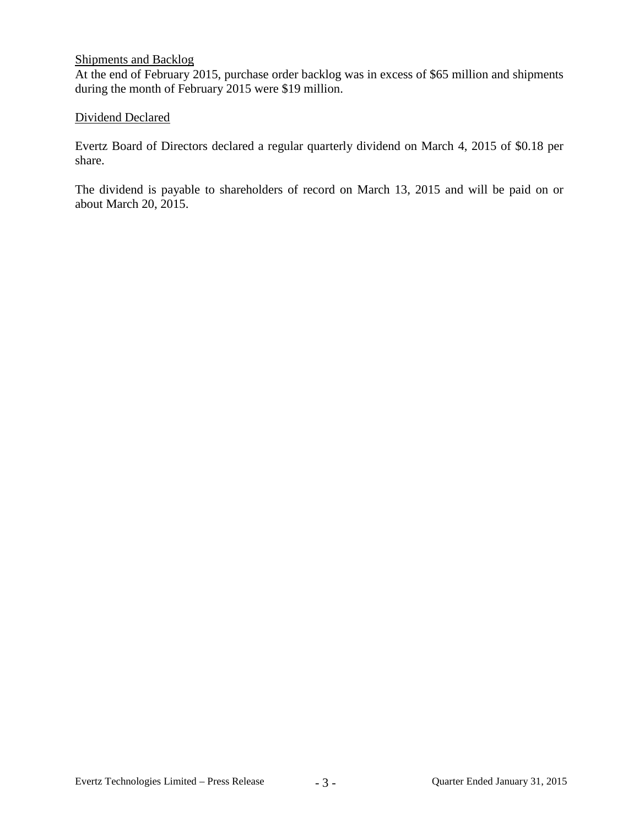# Shipments and Backlog

At the end of February 2015, purchase order backlog was in excess of \$65 million and shipments during the month of February 2015 were \$19 million.

# Dividend Declared

Evertz Board of Directors declared a regular quarterly dividend on March 4, 2015 of \$0.18 per share.

The dividend is payable to shareholders of record on March 13, 2015 and will be paid on or about March 20, 2015.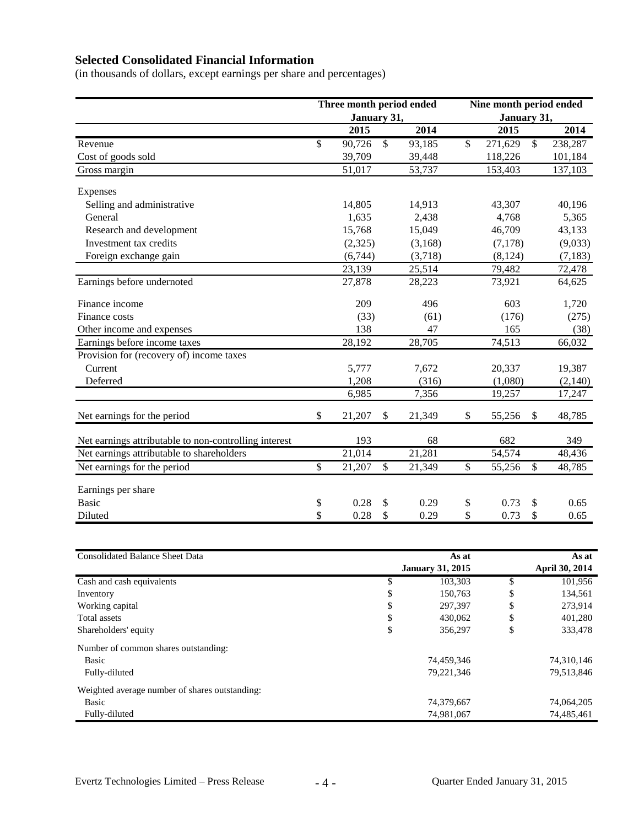# **Selected Consolidated Financial Information**

(in thousands of dollars, except earnings per share and percentages)

|                                                       | Three month period ended |         |    | Nine month period ended |    |                     |                           |          |
|-------------------------------------------------------|--------------------------|---------|----|-------------------------|----|---------------------|---------------------------|----------|
|                                                       | January 31,<br>2014      |         |    | January 31,             |    |                     |                           |          |
|                                                       |                          | 2015    |    |                         |    | 2015                |                           | 2014     |
| Revenue                                               | \$                       | 90,726  | \$ | 93,185                  | \$ | 271,629             | \$                        | 238,287  |
| Cost of goods sold                                    |                          | 39,709  |    | 39,448                  |    | 118,226             |                           | 101,184  |
| Gross margin                                          |                          | 51,017  |    | 53,737                  |    | 153,403             |                           | 137,103  |
| Expenses                                              |                          |         |    |                         |    |                     |                           |          |
| Selling and administrative                            |                          | 14,805  |    | 14,913                  |    | 43,307              |                           | 40,196   |
| General                                               |                          | 1,635   |    | 2,438                   |    | 4,768               |                           | 5,365    |
| Research and development                              |                          | 15,768  |    | 15,049                  |    | 46,709              |                           | 43,133   |
| Investment tax credits                                |                          | (2,325) |    | (3,168)                 |    | (7, 178)            |                           | (9,033)  |
| Foreign exchange gain                                 |                          | (6,744) |    | (3,718)                 |    | (8, 124)            |                           | (7, 183) |
|                                                       |                          | 23,139  |    | 25,514                  |    | 79,482              |                           | 72,478   |
| Earnings before undernoted                            |                          | 27,878  |    | 28,223                  |    | 73,921              |                           | 64,625   |
| Finance income                                        |                          | 209     |    | 496                     |    | 603                 |                           | 1,720    |
| Finance costs                                         |                          | (33)    |    | (61)                    |    | (176)               |                           | (275)    |
| Other income and expenses                             |                          | 138     |    | 47                      |    | 165                 |                           | (38)     |
| Earnings before income taxes                          |                          | 28,192  |    | 28,705                  |    | 74,513              |                           | 66,032   |
| Provision for (recovery of) income taxes              |                          |         |    |                         |    |                     |                           |          |
| Current                                               |                          | 5,777   |    | 7,672                   |    | 20,337              |                           | 19,387   |
| Deferred                                              |                          | 1,208   |    | (316)                   |    | (1,080)             |                           | (2,140)  |
|                                                       |                          | 6,985   |    | 7,356                   |    | 19,257              |                           | 17,247   |
| Net earnings for the period                           | \$                       | 21,207  | \$ | 21,349                  | \$ | 55,256              | $\boldsymbol{\mathsf{S}}$ | 48,785   |
| Net earnings attributable to non-controlling interest |                          | 193     |    | 68                      |    | 682                 |                           | 349      |
| Net earnings attributable to shareholders             |                          | 21,014  |    | 21,281                  |    | $\overline{54,574}$ |                           | 48,436   |
| Net earnings for the period                           | $\overline{\$}$          | 21,207  | \$ | 21,349                  | \$ | 55,256              | $\overline{\$}$           | 48,785   |
| Earnings per share                                    |                          |         |    |                         |    |                     |                           |          |
| <b>Basic</b>                                          | \$                       | 0.28    | \$ | 0.29                    | \$ | 0.73                | \$                        | 0.65     |
| Diluted                                               | \$                       | 0.28    | \$ | 0.29                    | \$ | 0.73                | \$                        | 0.65     |
|                                                       |                          |         |    |                         |    |                     |                           |          |

| <b>Consolidated Balance Sheet Data</b>         | As at                   |            |                       | As at      |  |  |
|------------------------------------------------|-------------------------|------------|-----------------------|------------|--|--|
|                                                | <b>January 31, 2015</b> |            | <b>April 30, 2014</b> |            |  |  |
| Cash and cash equivalents                      | \$                      | 103.303    |                       | 101,956    |  |  |
| Inventory                                      | \$                      | 150,763    | J                     | 134,561    |  |  |
| Working capital                                | \$                      | 297,397    | Φ<br>J                | 273,914    |  |  |
| Total assets                                   | \$                      | 430,062    | \$                    | 401,280    |  |  |
| Shareholders' equity                           | \$                      | 356,297    | \$                    | 333,478    |  |  |
| Number of common shares outstanding:           |                         |            |                       |            |  |  |
| Basic                                          |                         | 74.459.346 |                       | 74,310,146 |  |  |
| Fully-diluted                                  |                         | 79,221,346 |                       | 79,513,846 |  |  |
| Weighted average number of shares outstanding: |                         |            |                       |            |  |  |
| Basic                                          |                         | 74,379,667 |                       | 74,064,205 |  |  |
| Fully-diluted                                  |                         | 74,981,067 |                       | 74,485,461 |  |  |